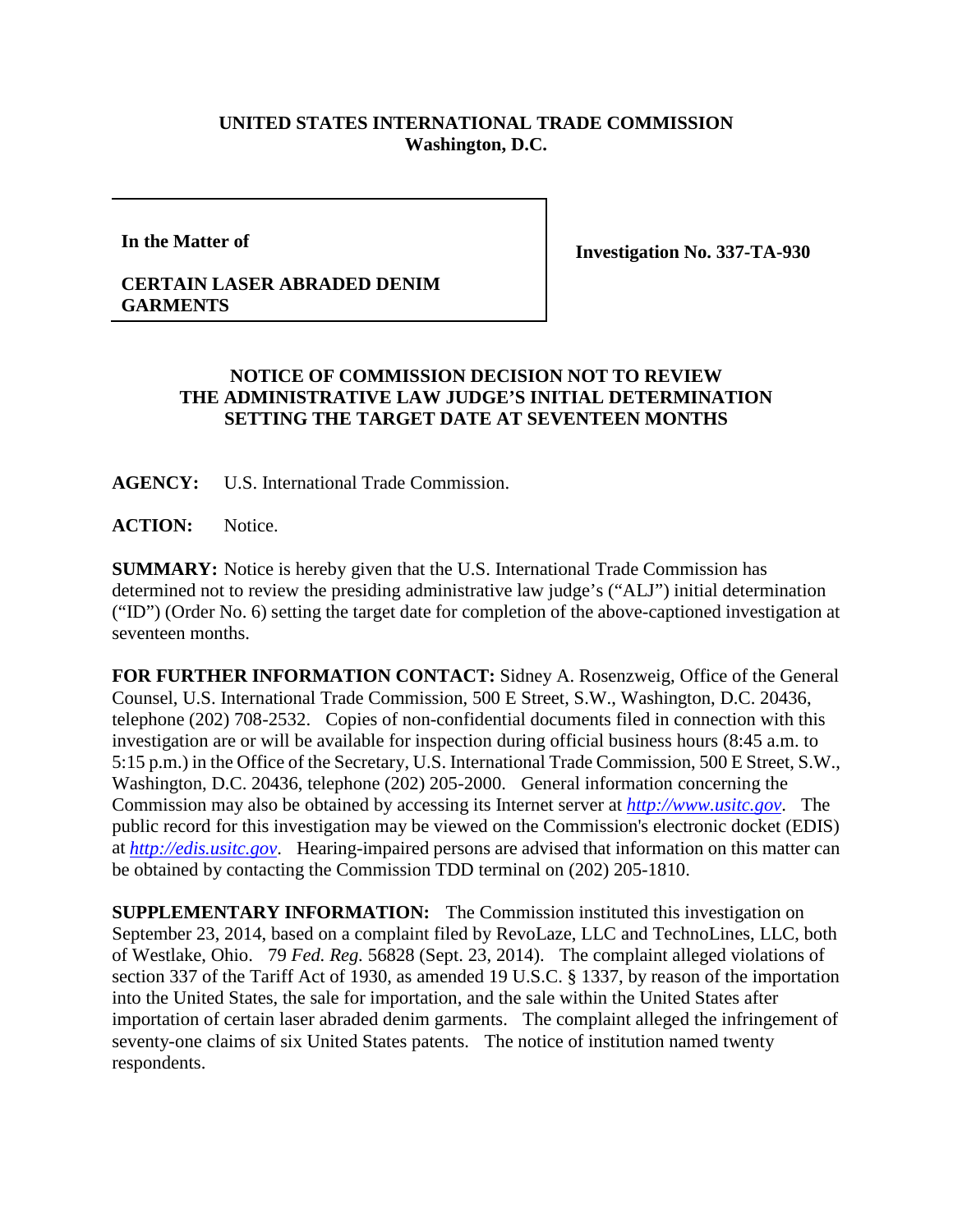## **UNITED STATES INTERNATIONAL TRADE COMMISSION Washington, D.C.**

**In the Matter of**

**Investigation No. 337-TA-930**

## **CERTAIN LASER ABRADED DENIM GARMENTS**

## **NOTICE OF COMMISSION DECISION NOT TO REVIEW THE ADMINISTRATIVE LAW JUDGE'S INITIAL DETERMINATION SETTING THE TARGET DATE AT SEVENTEEN MONTHS**

**AGENCY:** U.S. International Trade Commission.

**ACTION:** Notice.

**SUMMARY:** Notice is hereby given that the U.S. International Trade Commission has determined not to review the presiding administrative law judge's ("ALJ") initial determination ("ID") (Order No. 6) setting the target date for completion of the above-captioned investigation at seventeen months.

**FOR FURTHER INFORMATION CONTACT:** Sidney A. Rosenzweig, Office of the General Counsel, U.S. International Trade Commission, 500 E Street, S.W., Washington, D.C. 20436, telephone (202) 708-2532. Copies of non-confidential documents filed in connection with this investigation are or will be available for inspection during official business hours (8:45 a.m. to 5:15 p.m.) in the Office of the Secretary, U.S. International Trade Commission, 500 E Street, S.W., Washington, D.C. 20436, telephone (202) 205-2000. General information concerning the Commission may also be obtained by accessing its Internet server at *[http://www.usitc.gov](http://www.usitc.gov/)*. The public record for this investigation may be viewed on the Commission's electronic docket (EDIS) at *[http://edis.usitc.gov](http://edis.usitc.gov/)*. Hearing-impaired persons are advised that information on this matter can be obtained by contacting the Commission TDD terminal on (202) 205-1810.

**SUPPLEMENTARY INFORMATION:** The Commission instituted this investigation on September 23, 2014, based on a complaint filed by RevoLaze, LLC and TechnoLines, LLC, both of Westlake, Ohio. 79 *Fed. Reg.* 56828 (Sept. 23, 2014). The complaint alleged violations of section 337 of the Tariff Act of 1930, as amended 19 U.S.C. § 1337, by reason of the importation into the United States, the sale for importation, and the sale within the United States after importation of certain laser abraded denim garments. The complaint alleged the infringement of seventy-one claims of six United States patents. The notice of institution named twenty respondents.